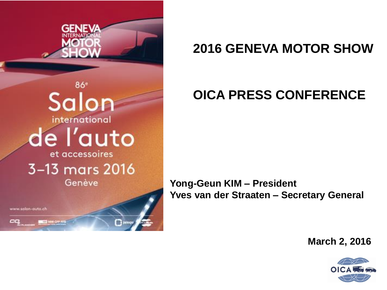

### **2016 GENEVA MOTOR SHOW**

## **OICA PRESS CONFERENCE**

**Yong-Geun KIM – President Yves van der Straaten – Secretary General**

**March 2, 2016**

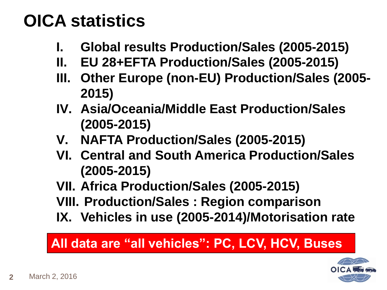# **OICA statistics**

- **I. Global results Production/Sales (2005-2015)**
- **II. EU 28+EFTA Production/Sales (2005-2015)**
- **III. Other Europe (non-EU) Production/Sales (2005- 2015)**
- **IV. Asia/Oceania/Middle East Production/Sales (2005-2015)**
- **V. NAFTA Production/Sales (2005-2015)**
- **VI. Central and South America Production/Sales (2005-2015)**
- **VII. Africa Production/Sales (2005-2015)**
- **VIII. Production/Sales : Region comparison**
- **IX. Vehicles in use (2005-2014)/Motorisation rate**

### **All data are "all vehicles": PC, LCV, HCV, Buses**

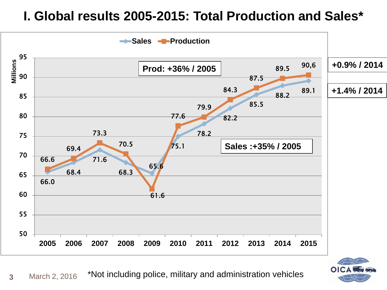#### **I. Global results 2005-2015: Total Production and Sales\***





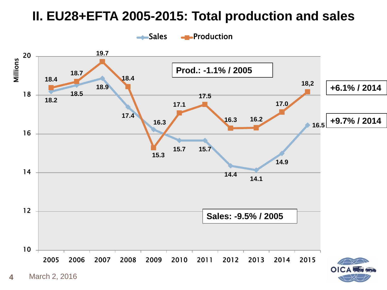#### **II. EU28+EFTA 2005-2015: Total production and sales**



**4** March 2, 2016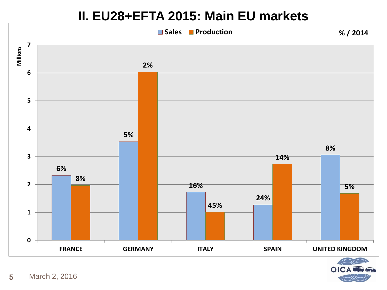#### **II. EU28+EFTA 2015: Main EU markets**



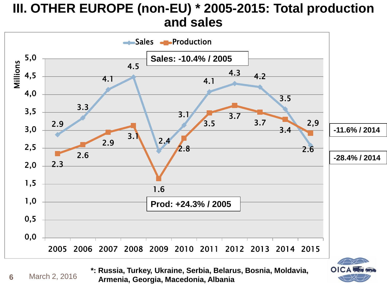#### **III. OTHER EUROPE (non-EU) \* 2005-2015: Total production and sales**



**6** March 2, 2016 **\*: Russia, Turkey, Ukraine, Serbia, Belarus, Bosnia, Moldavia, Armenia, Georgia, Macedonia, Albania**

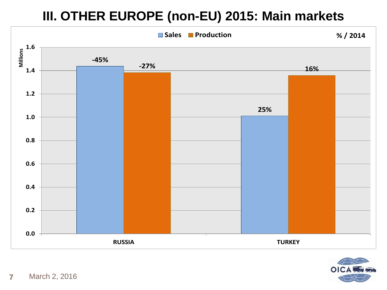### **III. OTHER EUROPE (non-EU) 2015: Main markets**



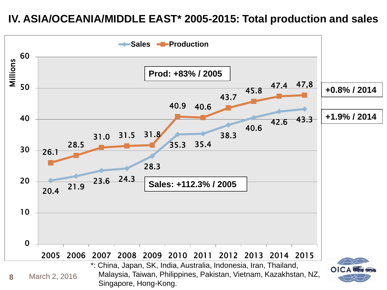#### **IV. ASIA/OCEANIA/MIDDLE EAST\* 2005-2015: Total production and sales**

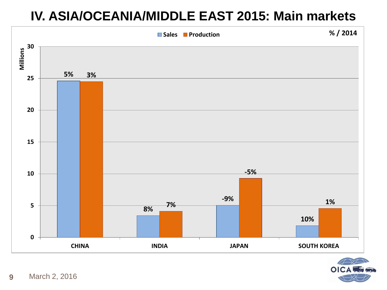#### **IV. ASIA/OCEANIA/MIDDLE EAST 2015: Main markets**



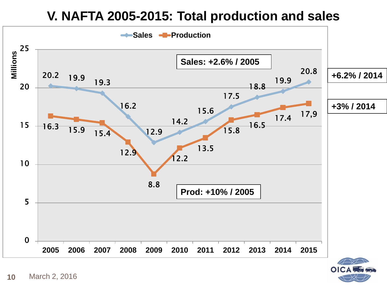#### **V. NAFTA 2005-2015: Total production and sales**



 $\mathbf O$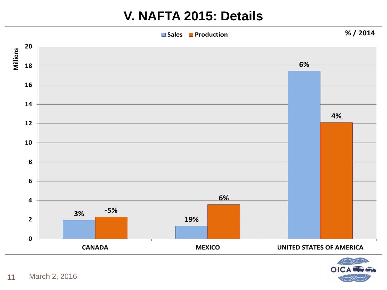#### **V. NAFTA 2015: Details**



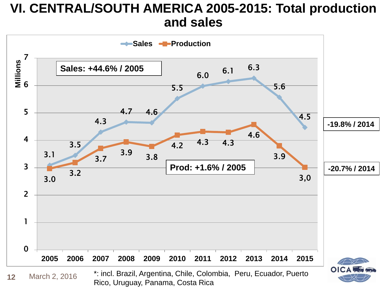#### **VI. CENTRAL/SOUTH AMERICA 2005-2015: Total production and sales**

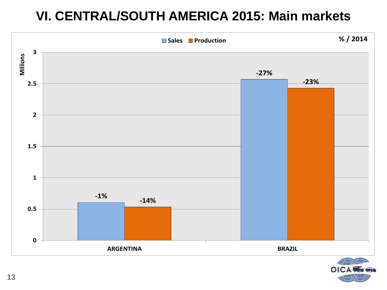#### **VI. CENTRAL/SOUTH AMERICA 2015: Main markets**



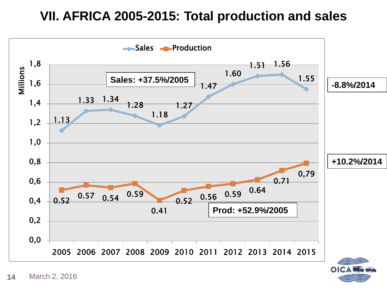#### **VII. AFRICA 2005-2015: Total production and sales**

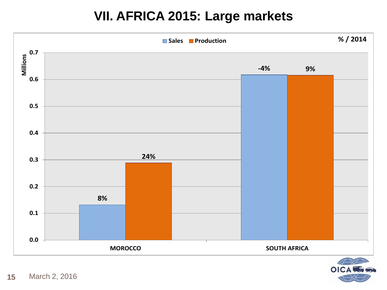#### **VII. AFRICA 2015: Large markets**



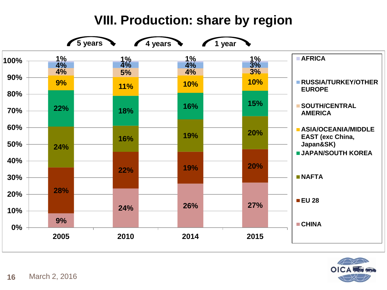### **VIII. Production: share by region**



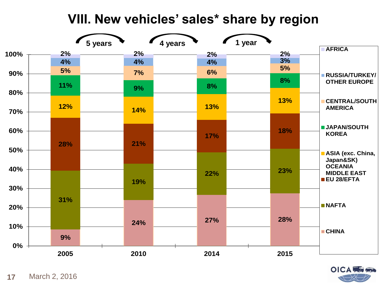#### **VIII. New vehicles' sales\* share by region**



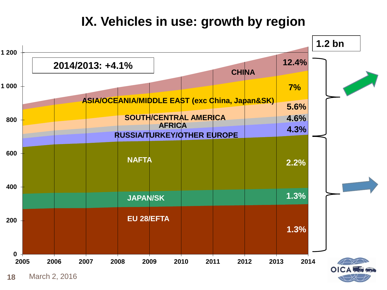#### **IX. Vehicles in use: growth by region**



**18** March 2, 2016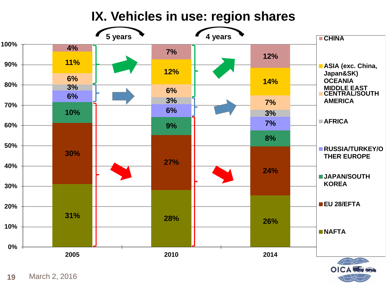**IX. Vehicles in use: region shares**

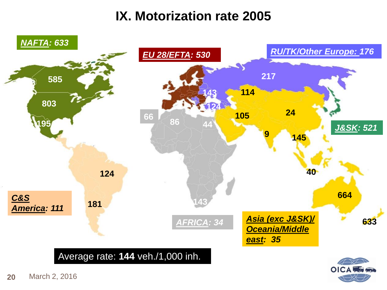#### **IX. Motorization rate 2005**

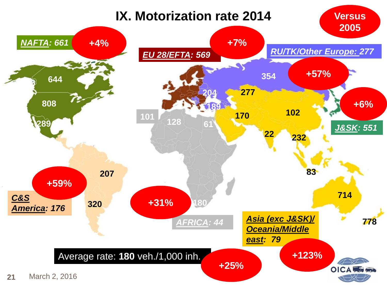